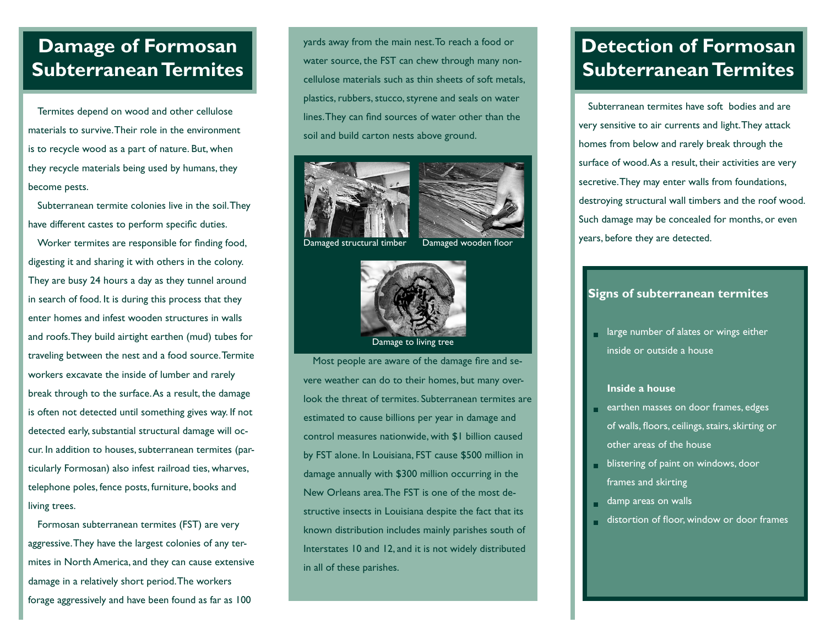# **Damage of Formosan Subterranean Termites**

Termites depend on wood and other cellulose materials to survive. Their role in the environment is to recycle wood as a part of nature. But, when they recycle materials being used by humans, they become pests.

Subterranean termite colonies live in the soil. They have different castes to perform specific duties.

Worker termites are responsible for finding food, digesting it and sharing it with others in the colony. They are busy 24 hours a day as they tunnel around in search of food. It is during this process that they enter homes and infest wooden structures in walls and roofs. They build airtight earthen (mud) tubes for traveling between the nest and a food source. Termite workers excavate the inside of lumber and rarely break through to the surface. As a result, the damage is often not detected until something gives way. If not detected early, substantial structural damage will occur. In addition to houses, subterranean termites (particularly Formosan) also infest railroad ties, wharves, telephone poles, fence posts, furniture, books and living trees.

Formosan subterranean termites (FST) are very aggressive. They have the largest colonies of any termites in North America, and they can cause extensive damage in a relatively short period. The workers forage aggressively and have been found as far as 100

yards away from the main nest. To reach a food or water source, the FST can chew through many noncellulose materials such as thin sheets of soft metals, plastics, rubbers, stucco, styrene and seals on water lines. They can find sources of water other than the soil and build carton nests above ground.





Damaged structural timber Damaged wooden floor



Most people are aware of the damage fire and severe weather can do to their homes, but many overlook the threat of termites. Subterranean termites are estimated to cause billions per year in damage and control measures nationwide, with \$1 billion caused by FST alone. In Louisiana, FST cause \$500 million in damage annually with \$300 million occurring in the New Orleans area. The FST is one of the most destructive insects in Louisiana despite the fact that its known distribution includes mainly parishes south of Interstates 10 and 12, and it is not widely distributed in all of these parishes.

# **Detection of Formosan Subterranean Termites**

Subterranean termites have soft bodies and are very sensitive to air currents and light. They attack homes from below and rarely break through the surface of wood. As a result, their activities are very secretive. They may enter walls from foundations, destroying structural wall timbers and the roof wood. Such damage may be concealed for months, or even years, before they are detected.

### **Signs of subterranean termites**

**large number of alates or wings either** inside or outside a house

### **Inside a house**

- earthen masses on door frames, edges of walls, floors, ceilings, stairs, skirting or other areas of the house
- blistering of paint on windows, door frames and skirting
- damp areas on walls
- distortion of floor, window or door frames